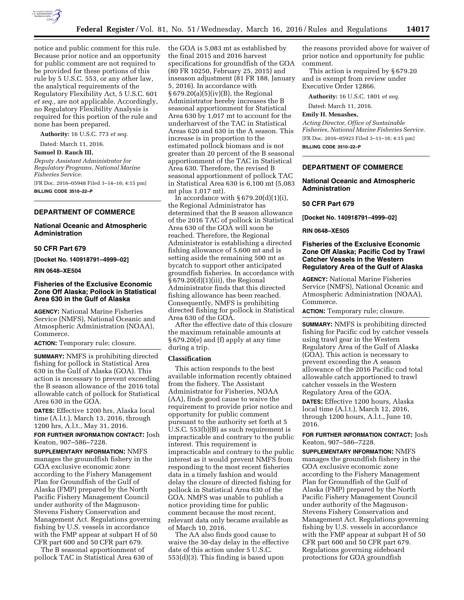

notice and public comment for this rule. Because prior notice and an opportunity for public comment are not required to be provided for these portions of this rule by 5 U.S.C. 553, or any other law, the analytical requirements of the Regulatory Flexibility Act, 5 U.S.C. 601 *et seq.,* are not applicable. Accordingly, no Regulatory Flexibility Analysis is required for this portion of the rule and none has been prepared.

**Authority:** 16 U.S.C. 773 *et seq.* 

Dated: March 11, 2016.

**Samuel D. Rauch III,** 

*Deputy Assistant Administrator for Regulatory Programs, National Marine Fisheries Service.* 

[FR Doc. 2016–05948 Filed 3–14–16; 4:15 pm]

**BILLING CODE 3510–22–P** 

# **DEPARTMENT OF COMMERCE**

### **National Oceanic and Atmospheric Administration**

### **50 CFR Part 679**

**[Docket No. 140918791–4999–02]** 

**RIN 0648–XE504** 

# **Fisheries of the Exclusive Economic Zone Off Alaska; Pollock in Statistical Area 630 in the Gulf of Alaska**

**AGENCY:** National Marine Fisheries Service (NMFS), National Oceanic and Atmospheric Administration (NOAA), Commerce.

**ACTION:** Temporary rule; closure.

**SUMMARY:** NMFS is prohibiting directed fishing for pollock in Statistical Area 630 in the Gulf of Alaska (GOA). This action is necessary to prevent exceeding the B season allowance of the 2016 total allowable catch of pollock for Statistical Area 630 in the GOA.

**DATES:** Effective 1200 hrs, Alaska local time (A.l.t.), March 13, 2016, through 1200 hrs, A.l.t., May 31, 2016.

**FOR FURTHER INFORMATION CONTACT:** Josh Keaton, 907–586–7228.

**SUPPLEMENTARY INFORMATION:** NMFS manages the groundfish fishery in the GOA exclusive economic zone according to the Fishery Management Plan for Groundfish of the Gulf of Alaska (FMP) prepared by the North Pacific Fishery Management Council under authority of the Magnuson-Stevens Fishery Conservation and Management Act. Regulations governing fishing by U.S. vessels in accordance with the FMP appear at subpart H of 50 CFR part 600 and 50 CFR part 679.

The B seasonal apportionment of pollock TAC in Statistical Area 630 of the GOA is 5,083 mt as established by the final 2015 and 2016 harvest specifications for groundfish of the GOA (80 FR 10250, February 25, 2015) and inseason adjustment (81 FR 188, January 5, 2016). In accordance with § 679.20(a)(5)(iv)(B), the Regional Administrator hereby increases the B seasonal apportionment for Statistical Area 630 by 1,017 mt to account for the underharvest of the TAC in Statistical Areas 620 and 630 in the A season. This increase is in proportion to the estimated pollock biomass and is not greater than 20 percent of the B seasonal apportionment of the TAC in Statistical Area 630. Therefore, the revised B seasonal apportionment of pollock TAC in Statistical Area 630 is 6,100 mt (5,083 mt plus 1,017 mt).

In accordance with  $\S 679.20(d)(1)(i)$ , the Regional Administrator has determined that the B season allowance of the 2016 TAC of pollock in Statistical Area 630 of the GOA will soon be reached. Therefore, the Regional Administrator is establishing a directed fishing allowance of 5,600 mt and is setting aside the remaining 500 mt as bycatch to support other anticipated groundfish fisheries. In accordance with § 679.20(d)(1)(iii), the Regional Administrator finds that this directed fishing allowance has been reached. Consequently, NMFS is prohibiting directed fishing for pollock in Statistical Area 630 of the GOA.

After the effective date of this closure the maximum retainable amounts at § 679.20(e) and (f) apply at any time during a trip.

### **Classification**

This action responds to the best available information recently obtained from the fishery. The Assistant Administrator for Fisheries, NOAA (AA), finds good cause to waive the requirement to provide prior notice and opportunity for public comment pursuant to the authority set forth at 5 U.S.C. 553(b)(B) as such requirement is impracticable and contrary to the public interest. This requirement is impracticable and contrary to the public interest as it would prevent NMFS from responding to the most recent fisheries data in a timely fashion and would delay the closure of directed fishing for pollock in Statistical Area 630 of the GOA. NMFS was unable to publish a notice providing time for public comment because the most recent, relevant data only became available as of March 10, 2016.

The AA also finds good cause to waive the 30-day delay in the effective date of this action under 5 U.S.C. 553(d)(3). This finding is based upon

the reasons provided above for waiver of prior notice and opportunity for public comment.

This action is required by § 679.20 and is exempt from review under Executive Order 12866.

**Authority:** 16 U.S.C. 1801 *et seq.* 

Dated: March 11, 2016.

#### **Emily H. Menashes,**

*Acting Director, Office of Sustainable Fisheries, National Marine Fisheries Service.*  [FR Doc. 2016–05923 Filed 3–11–16; 4:15 pm] **BILLING CODE 3510–22–P** 

### **DEPARTMENT OF COMMERCE**

#### **National Oceanic and Atmospheric Administration**

## **50 CFR Part 679**

**[Docket No. 140918791–4999–02]** 

#### **RIN 0648–XE505**

### **Fisheries of the Exclusive Economic Zone Off Alaska; Pacific Cod by Trawl Catcher Vessels in the Western Regulatory Area of the Gulf of Alaska**

**AGENCY:** National Marine Fisheries Service (NMFS), National Oceanic and Atmospheric Administration (NOAA), Commerce.

**ACTION:** Temporary rule; closure.

**SUMMARY:** NMFS is prohibiting directed fishing for Pacific cod by catcher vessels using trawl gear in the Western Regulatory Area of the Gulf of Alaska (GOA). This action is necessary to prevent exceeding the A season allowance of the 2016 Pacific cod total allowable catch apportioned to trawl catcher vessels in the Western Regulatory Area of the GOA.

**DATES:** Effective 1200 hours, Alaska local time (A.l.t.), March 12, 2016, through 1200 hours, A.l.t., June 10, 2016.

### **FOR FURTHER INFORMATION CONTACT:** Josh Keaton, 907–586–7228.

**SUPPLEMENTARY INFORMATION:** NMFS manages the groundfish fishery in the GOA exclusive economic zone according to the Fishery Management Plan for Groundfish of the Gulf of Alaska (FMP) prepared by the North Pacific Fishery Management Council under authority of the Magnuson-Stevens Fishery Conservation and Management Act. Regulations governing fishing by U.S. vessels in accordance with the FMP appear at subpart H of 50 CFR part 600 and 50 CFR part 679. Regulations governing sideboard protections for GOA groundfish